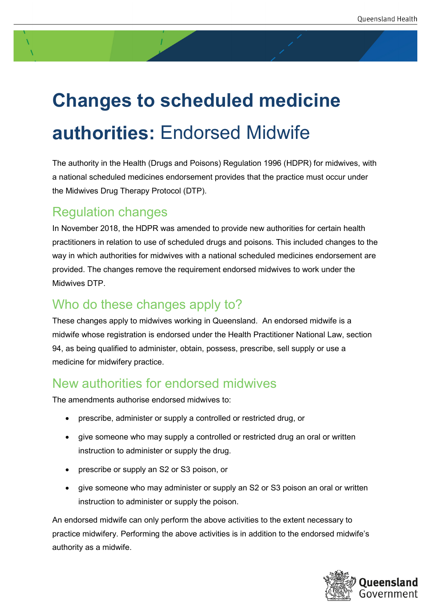# **Changes to scheduled medicine authorities:** Endorsed Midwife

The authority in the Health (Drugs and Poisons) Regulation 1996 (HDPR) for midwives, with a national scheduled medicines endorsement provides that the practice must occur under the Midwives Drug Therapy Protocol (DTP).

#### Regulation changes

In November 2018, the HDPR was amended to provide new authorities for certain health practitioners in relation to use of scheduled drugs and poisons. This included changes to the way in which authorities for midwives with a national scheduled medicines endorsement are provided. The changes remove the requirement endorsed midwives to work under the Midwives DTP.

### Who do these changes apply to?

These changes apply to midwives working in Queensland. An endorsed midwife is a midwife whose registration is endorsed under the Health Practitioner National Law, section 94, as being qualified to administer, obtain, possess, prescribe, sell supply or use a medicine for midwifery practice.

#### New authorities for endorsed midwives

The amendments authorise endorsed midwives to:

- prescribe, administer or supply a controlled or restricted drug, or
- give someone who may supply a controlled or restricted drug an oral or written instruction to administer or supply the drug.
- prescribe or supply an S2 or S3 poison, or
- give someone who may administer or supply an S2 or S3 poison an oral or written instruction to administer or supply the poison.

An endorsed midwife can only perform the above activities to the extent necessary to practice midwifery. Performing the above activities is in addition to the endorsed midwife's authority as a midwife.